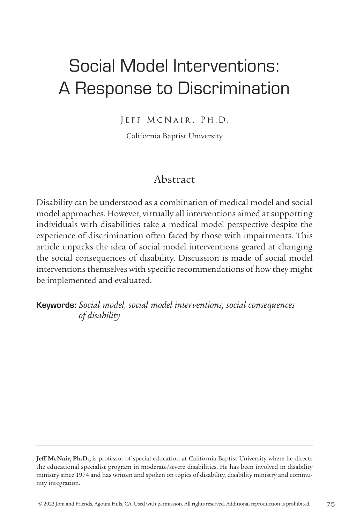# Social Model Interventions: A Response to Discrimination

Jeff McNair, Ph.D.

California Baptist University

#### Abstract

Disability can be understood as a combination of medical model and social model approaches. However, virtually all interventions aimed at supporting individuals with disabilities take a medical model perspective despite the experience of discrimination often faced by those with impairments. This article unpacks the idea of social model interventions geared at changing the social consequences of disability. Discussion is made of social model interventions themselves with specific recommendations of how they might be implemented and evaluated.

Keywords: *Social model, social model interventions, social consequences of disability*

**Jeff McNair, Ph.D.,** is professor of special education at California Baptist University where he directs the educational specialist program in moderate/severe disabilities. He has been involved in disability ministry since 1974 and has written and spoken on topics of disability, disability ministry and community integration.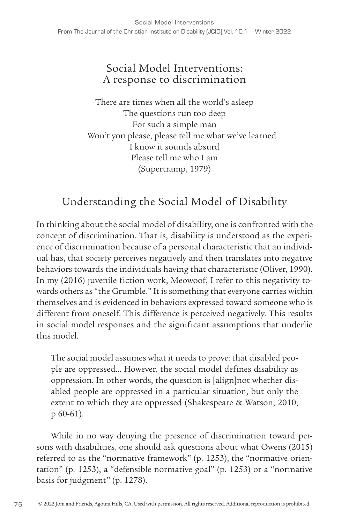#### Social Model Interventions: A response to discrimination

There are times when all the world's asleep The questions run too deep For such a simple man Won't you please, please tell me what we've learned I know it sounds absurd Please tell me who I am (Supertramp, 1979)

# Understanding the Social Model of Disability

In thinking about the social model of disability, one is confronted with the concept of discrimination. That is, disability is understood as the experience of discrimination because of a personal characteristic that an individual has, that society perceives negatively and then translates into negative behaviors towards the individuals having that characteristic (Oliver, 1990). In my (2016) juvenile fiction work, Meowoof, I refer to this negativity towards others as "the Grumble." It is something that everyone carries within themselves and is evidenced in behaviors expressed toward someone who is different from oneself. This difference is perceived negatively. This results in social model responses and the significant assumptions that underlie this model.

The social model assumes what it needs to prove: that disabled people are oppressed… However, the social model defines disability as oppression. In other words, the question is [align]not whether disabled people are oppressed in a particular situation, but only the extent to which they are oppressed (Shakespeare & Watson, 2010, p 60-61).

While in no way denying the presence of discrimination toward persons with disabilities, one should ask questions about what Owens (2015) referred to as the "normative framework" (p. 1253), the "normative orientation" (p. 1253), a "defensible normative goal" (p. 1253) or a "normative basis for judgment" (p. 1278).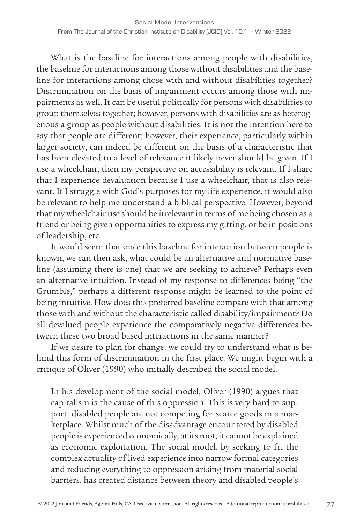What is the baseline for interactions among people with disabilities, the baseline for interactions among those without disabilities and the baseline for interactions among those with and without disabilities together? Discrimination on the basis of impairment occurs among those with impairments as well. It can be useful politically for persons with disabilities to group themselves together; however, persons with disabilities are as heterogenous a group as people without disabilities. It is not the intention here to say that people are different; however, their experience, particularly within larger society, can indeed be different on the basis of a characteristic that has been elevated to a level of relevance it likely never should be given. If I use a wheelchair, then my perspective on accessibility is relevant. If I share that I experience devaluation because I use a wheelchair, that is also relevant. If I struggle with God's purposes for my life experience, it would also be relevant to help me understand a biblical perspective. However, beyond that my wheelchair use should be irrelevant in terms of me being chosen as a friend or being given opportunities to express my gifting, or be in positions of leadership, etc.

It would seem that once this baseline for interaction between people is known, we can then ask, what could be an alternative and normative baseline (assuming there is one) that we are seeking to achieve? Perhaps even an alternative intuition. Instead of my response to differences being "the Grumble," perhaps a different response might be learned to the point of being intuitive. How does this preferred baseline compare with that among those with and without the characteristic called disability/impairment? Do all devalued people experience the comparatively negative differences between these two broad based interactions in the same manner?

If we desire to plan for change, we could try to understand what is behind this form of discrimination in the first place. We might begin with a critique of Oliver (1990) who initially described the social model.

In his development of the social model, Oliver (1990) argues that capitalism is the cause of this oppression. This is very hard to support: disabled people are not competing for scarce goods in a marketplace. Whilst much of the disadvantage encountered by disabled people is experienced economically, at its root, it cannot be explained as economic exploitation. The social model, by seeking to fit the complex actuality of lived experience into narrow formal categories and reducing everything to oppression arising from material social barriers, has created distance between theory and disabled people's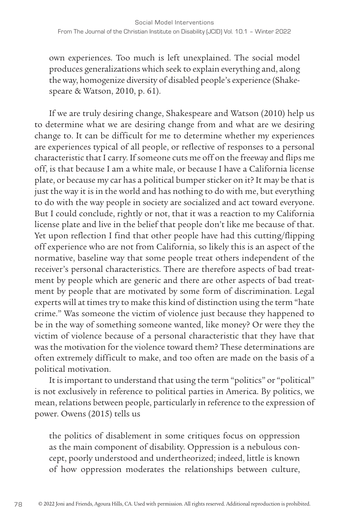own experiences. Too much is left unexplained. The social model produces generalizations which seek to explain everything and, along the way, homogenize diversity of disabled people's experience (Shakespeare & Watson, 2010, p. 61).

If we are truly desiring change, Shakespeare and Watson (2010) help us to determine what we are desiring change from and what are we desiring change to. It can be difficult for me to determine whether my experiences are experiences typical of all people, or reflective of responses to a personal characteristic that I carry. If someone cuts me off on the freeway and flips me off, is that because I am a white male, or because I have a California license plate, or because my car has a political bumper sticker on it? It may be that is just the way it is in the world and has nothing to do with me, but everything to do with the way people in society are socialized and act toward everyone. But I could conclude, rightly or not, that it was a reaction to my California license plate and live in the belief that people don't like me because of that. Yet upon reflection I find that other people have had this cutting/flipping off experience who are not from California, so likely this is an aspect of the normative, baseline way that some people treat others independent of the receiver's personal characteristics. There are therefore aspects of bad treatment by people which are generic and there are other aspects of bad treatment by people that are motivated by some form of discrimination. Legal experts will at times try to make this kind of distinction using the term "hate crime." Was someone the victim of violence just because they happened to be in the way of something someone wanted, like money? Or were they the victim of violence because of a personal characteristic that they have that was the motivation for the violence toward them? These determinations are often extremely difficult to make, and too often are made on the basis of a political motivation.

It is important to understand that using the term "politics" or "political" is not exclusively in reference to political parties in America. By politics, we mean, relations between people, particularly in reference to the expression of power. Owens (2015) tells us

the politics of disablement in some critiques focus on oppression as the main component of disability. Oppression is a nebulous concept, poorly understood and undertheorized; indeed, little is known of how oppression moderates the relationships between culture,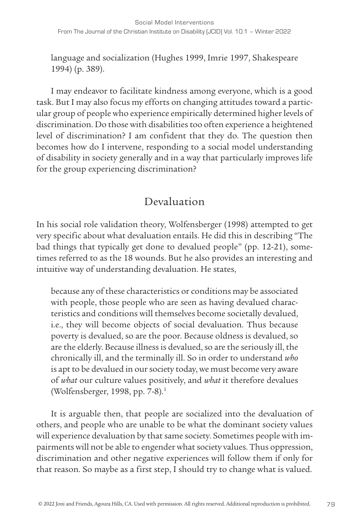language and socialization (Hughes 1999, Imrie 1997, Shakespeare 1994) (p. 389).

I may endeavor to facilitate kindness among everyone, which is a good task. But I may also focus my efforts on changing attitudes toward a particular group of people who experience empirically determined higher levels of discrimination. Do those with disabilities too often experience a heightened level of discrimination? I am confident that they do. The question then becomes how do I intervene, responding to a social model understanding of disability in society generally and in a way that particularly improves life for the group experiencing discrimination?

# Devaluation

In his social role validation theory, Wolfensberger (1998) attempted to get very specific about what devaluation entails. He did this in describing "The bad things that typically get done to devalued people" (pp. 12-21), sometimes referred to as the 18 wounds. But he also provides an interesting and intuitive way of understanding devaluation. He states,

because any of these characteristics or conditions may be associated with people, those people who are seen as having devalued characteristics and conditions will themselves become societally devalued, i.e., they will become objects of social devaluation. Thus because poverty is devalued, so are the poor. Because oldness is devalued, so are the elderly. Because illness is devalued, so are the seriously ill, the chronically ill, and the terminally ill. So in order to understand *who* is apt to be devalued in our society today, we must become very aware of *what* our culture values positively, and *what* it therefore devalues (Wolfensberger, 1998, pp. 7-8).1

It is arguable then, that people are socialized into the devaluation of others, and people who are unable to be what the dominant society values will experience devaluation by that same society. Sometimes people with impairments will not be able to engender what society values. Thus oppression, discrimination and other negative experiences will follow them if only for that reason. So maybe as a first step, I should try to change what is valued.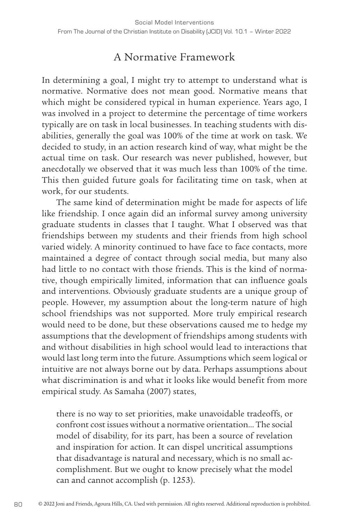# A Normative Framework

In determining a goal, I might try to attempt to understand what is normative. Normative does not mean good. Normative means that which might be considered typical in human experience. Years ago, I was involved in a project to determine the percentage of time workers typically are on task in local businesses. In teaching students with disabilities, generally the goal was 100% of the time at work on task. We decided to study, in an action research kind of way, what might be the actual time on task. Our research was never published, however, but anecdotally we observed that it was much less than 100% of the time. This then guided future goals for facilitating time on task, when at work, for our students.

The same kind of determination might be made for aspects of life like friendship. I once again did an informal survey among university graduate students in classes that I taught. What I observed was that friendships between my students and their friends from high school varied widely. A minority continued to have face to face contacts, more maintained a degree of contact through social media, but many also had little to no contact with those friends. This is the kind of normative, though empirically limited, information that can influence goals and interventions. Obviously graduate students are a unique group of people. However, my assumption about the long-term nature of high school friendships was not supported. More truly empirical research would need to be done, but these observations caused me to hedge my assumptions that the development of friendships among students with and without disabilities in high school would lead to interactions that would last long term into the future. Assumptions which seem logical or intuitive are not always borne out by data. Perhaps assumptions about what discrimination is and what it looks like would benefit from more empirical study. As Samaha (2007) states,

there is no way to set priorities, make unavoidable tradeoffs, or confront cost issues without a normative orientation… The social model of disability, for its part, has been a source of revelation and inspiration for action. It can dispel uncritical assumptions that disadvantage is natural and necessary, which is no small accomplishment. But we ought to know precisely what the model can and cannot accomplish (p. 1253).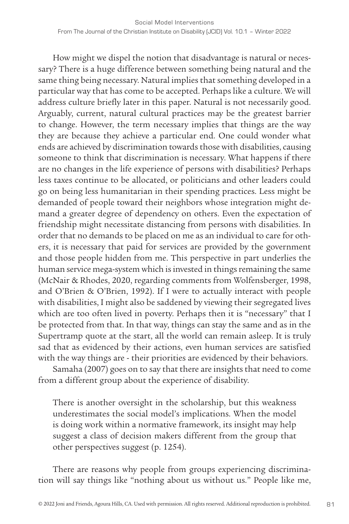How might we dispel the notion that disadvantage is natural or necessary? There is a huge difference between something being natural and the same thing being necessary. Natural implies that something developed in a particular way that has come to be accepted. Perhaps like a culture. We will address culture briefly later in this paper. Natural is not necessarily good. Arguably, current, natural cultural practices may be the greatest barrier to change. However, the term necessary implies that things are the way they are because they achieve a particular end. One could wonder what ends are achieved by discrimination towards those with disabilities, causing someone to think that discrimination is necessary. What happens if there are no changes in the life experience of persons with disabilities? Perhaps less taxes continue to be allocated, or politicians and other leaders could go on being less humanitarian in their spending practices. Less might be demanded of people toward their neighbors whose integration might demand a greater degree of dependency on others. Even the expectation of friendship might necessitate distancing from persons with disabilities. In order that no demands to be placed on me as an individual to care for others, it is necessary that paid for services are provided by the government and those people hidden from me. This perspective in part underlies the human service mega-system which is invested in things remaining the same (McNair & Rhodes, 2020, regarding comments from Wolfensberger, 1998, and O'Brien & O'Brien, 1992). If I were to actually interact with people with disabilities, I might also be saddened by viewing their segregated lives which are too often lived in poverty. Perhaps then it is "necessary" that I be protected from that. In that way, things can stay the same and as in the Supertramp quote at the start, all the world can remain asleep. It is truly sad that as evidenced by their actions, even human services are satisfied with the way things are - their priorities are evidenced by their behaviors.

Samaha (2007) goes on to say that there are insights that need to come from a different group about the experience of disability.

There is another oversight in the scholarship, but this weakness underestimates the social model's implications. When the model is doing work within a normative framework, its insight may help suggest a class of decision makers different from the group that other perspectives suggest (p. 1254).

There are reasons why people from groups experiencing discrimination will say things like "nothing about us without us." People like me,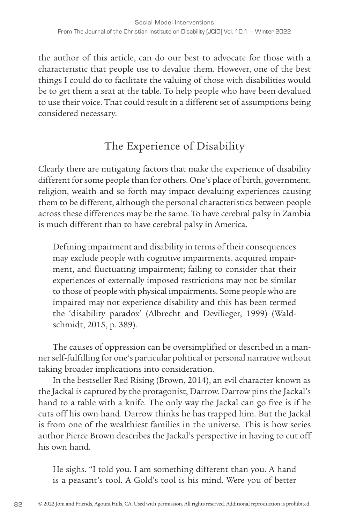the author of this article, can do our best to advocate for those with a characteristic that people use to devalue them. However, one of the best things I could do to facilitate the valuing of those with disabilities would be to get them a seat at the table. To help people who have been devalued to use their voice. That could result in a different set of assumptions being considered necessary.

### The Experience of Disability

Clearly there are mitigating factors that make the experience of disability different for some people than for others. One's place of birth, government, religion, wealth and so forth may impact devaluing experiences causing them to be different, although the personal characteristics between people across these differences may be the same. To have cerebral palsy in Zambia is much different than to have cerebral palsy in America.

Defining impairment and disability in terms of their consequences may exclude people with cognitive impairments, acquired impairment, and fluctuating impairment; failing to consider that their experiences of externally imposed restrictions may not be similar to those of people with physical impairments. Some people who are impaired may not experience disability and this has been termed the 'disability paradox' (Albrecht and Devilieger, 1999) (Waldschmidt, 2015, p. 389).

The causes of oppression can be oversimplified or described in a manner self-fulfilling for one's particular political or personal narrative without taking broader implications into consideration.

In the bestseller Red Rising (Brown, 2014), an evil character known as the Jackal is captured by the protagonist, Darrow. Darrow pins the Jackal's hand to a table with a knife. The only way the Jackal can go free is if he cuts off his own hand. Darrow thinks he has trapped him. But the Jackal is from one of the wealthiest families in the universe. This is how series author Pierce Brown describes the Jackal's perspective in having to cut off his own hand.

He sighs. "I told you. I am something different than you. A hand is a peasant's tool. A Gold's tool is his mind. Were you of better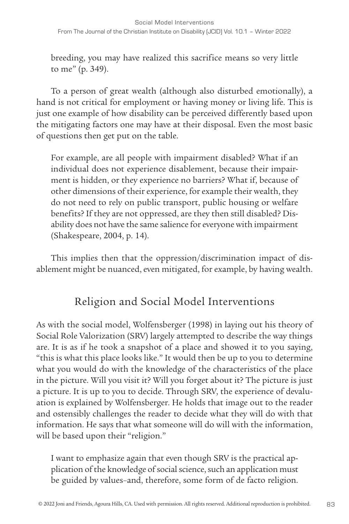breeding, you may have realized this sacrifice means so very little to me" (p. 349).

To a person of great wealth (although also disturbed emotionally), a hand is not critical for employment or having money or living life. This is just one example of how disability can be perceived differently based upon the mitigating factors one may have at their disposal. Even the most basic of questions then get put on the table.

For example, are all people with impairment disabled? What if an individual does not experience disablement, because their impairment is hidden, or they experience no barriers? What if, because of other dimensions of their experience, for example their wealth, they do not need to rely on public transport, public housing or welfare benefits? If they are not oppressed, are they then still disabled? Disability does not have the same salience for everyone with impairment (Shakespeare, 2004, p. 14).

This implies then that the oppression/discrimination impact of disablement might be nuanced, even mitigated, for example, by having wealth.

#### Religion and Social Model Interventions

As with the social model, Wolfensberger (1998) in laying out his theory of Social Role Valorization (SRV) largely attempted to describe the way things are. It is as if he took a snapshot of a place and showed it to you saying, "this is what this place looks like." It would then be up to you to determine what you would do with the knowledge of the characteristics of the place in the picture. Will you visit it? Will you forget about it? The picture is just a picture. It is up to you to decide. Through SRV, the experience of devaluation is explained by Wolfensberger. He holds that image out to the reader and ostensibly challenges the reader to decide what they will do with that information. He says that what someone will do will with the information, will be based upon their "religion."

I want to emphasize again that even though SRV is the practical application of the knowledge of social science, such an application must be guided by values–and, therefore, some form of de facto religion.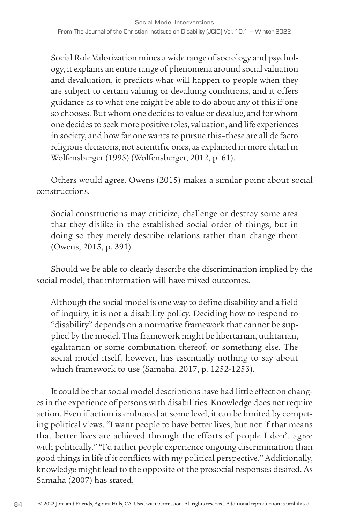Social Role Valorization mines a wide range of sociology and psychology, it explains an entire range of phenomena around social valuation and devaluation, it predicts what will happen to people when they are subject to certain valuing or devaluing conditions, and it offers guidance as to what one might be able to do about any of this if one so chooses. But whom one decides to value or devalue, and for whom one decides to seek more positive roles, valuation, and life experiences in society, and how far one wants to pursue this–these are all de facto religious decisions, not scientific ones, as explained in more detail in Wolfensberger (1995) (Wolfensberger, 2012, p. 61).

Others would agree. Owens (2015) makes a similar point about social constructions.

Social constructions may criticize, challenge or destroy some area that they dislike in the established social order of things, but in doing so they merely describe relations rather than change them (Owens, 2015, p. 391).

Should we be able to clearly describe the discrimination implied by the social model, that information will have mixed outcomes.

Although the social model is one way to define disability and a field of inquiry, it is not a disability policy. Deciding how to respond to "disability" depends on a normative framework that cannot be supplied by the model. This framework might be libertarian, utilitarian, egalitarian or some combination thereof, or something else. The social model itself, however, has essentially nothing to say about which framework to use (Samaha, 2017, p. 1252-1253).

It could be that social model descriptions have had little effect on changes in the experience of persons with disabilities. Knowledge does not require action. Even if action is embraced at some level, it can be limited by competing political views. "I want people to have better lives, but not if that means that better lives are achieved through the efforts of people I don't agree with politically." "I'd rather people experience ongoing discrimination than good things in life if it conflicts with my political perspective." Additionally, knowledge might lead to the opposite of the prosocial responses desired. As Samaha (2007) has stated,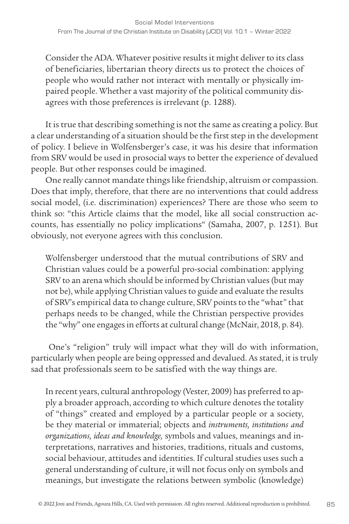Consider the ADA. Whatever positive results it might deliver to its class of beneficiaries, libertarian theory directs us to protect the choices of people who would rather not interact with mentally or physically impaired people. Whether a vast majority of the political community disagrees with those preferences is irrelevant (p. 1288).

It is true that describing something is not the same as creating a policy. But a clear understanding of a situation should be the first step in the development of policy. I believe in Wolfensberger's case, it was his desire that information from SRV would be used in prosocial ways to better the experience of devalued people. But other responses could be imagined.

One really cannot mandate things like friendship, altruism or compassion. Does that imply, therefore, that there are no interventions that could address social model, (i.e. discrimination) experiences? There are those who seem to think so: "this Article claims that the model, like all social construction accounts, has essentially no policy implications" (Samaha, 2007, p. 1251). But obviously, not everyone agrees with this conclusion.

Wolfensberger understood that the mutual contributions of SRV and Christian values could be a powerful pro-social combination: applying SRV to an arena which should be informed by Christian values (but may not be), while applying Christian values to guide and evaluate the results of SRV's empirical data to change culture, SRV points to the "what" that perhaps needs to be changed, while the Christian perspective provides the "why" one engages in efforts at cultural change (McNair, 2018, p. 84).

 One's "religion" truly will impact what they will do with information, particularly when people are being oppressed and devalued. As stated, it is truly sad that professionals seem to be satisfied with the way things are.

In recent years, cultural anthropology (Vester, 2009) has preferred to apply a broader approach, according to which culture denotes the totality of "things" created and employed by a particular people or a society, be they material or immaterial; objects and *instruments, institutions and organizations, ideas and knowledge,* symbols and values, meanings and interpretations, narratives and histories, traditions, rituals and customs, social behaviour, attitudes and identities. If cultural studies uses such a general understanding of culture, it will not focus only on symbols and meanings, but investigate the relations between symbolic (knowledge)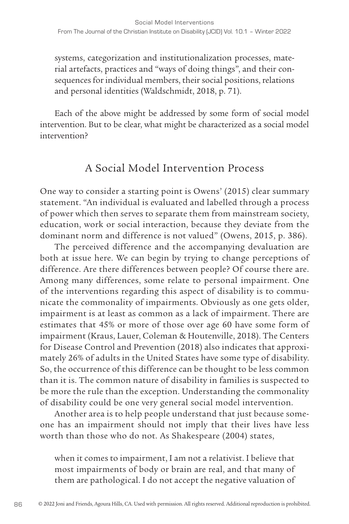systems, categorization and institutionalization processes, material artefacts, practices and "ways of doing things", and their consequences for individual members, their social positions, relations and personal identities (Waldschmidt, 2018, p. 71).

Each of the above might be addressed by some form of social model intervention. But to be clear, what might be characterized as a social model intervention?

#### A Social Model Intervention Process

One way to consider a starting point is Owens' (2015) clear summary statement. "An individual is evaluated and labelled through a process of power which then serves to separate them from mainstream society, education, work or social interaction, because they deviate from the dominant norm and difference is not valued" (Owens, 2015, p. 386).

The perceived difference and the accompanying devaluation are both at issue here. We can begin by trying to change perceptions of difference. Are there differences between people? Of course there are. Among many differences, some relate to personal impairment. One of the interventions regarding this aspect of disability is to communicate the commonality of impairments. Obviously as one gets older, impairment is at least as common as a lack of impairment. There are estimates that 45% or more of those over age 60 have some form of impairment (Kraus, Lauer, Coleman & Houtenville, 2018). The Centers for Disease Control and Prevention (2018) also indicates that approximately 26% of adults in the United States have some type of disability. So, the occurrence of this difference can be thought to be less common than it is. The common nature of disability in families is suspected to be more the rule than the exception. Understanding the commonality of disability could be one very general social model intervention.

Another area is to help people understand that just because someone has an impairment should not imply that their lives have less worth than those who do not. As Shakespeare (2004) states,

when it comes to impairment, I am not a relativist. I believe that most impairments of body or brain are real, and that many of them are pathological. I do not accept the negative valuation of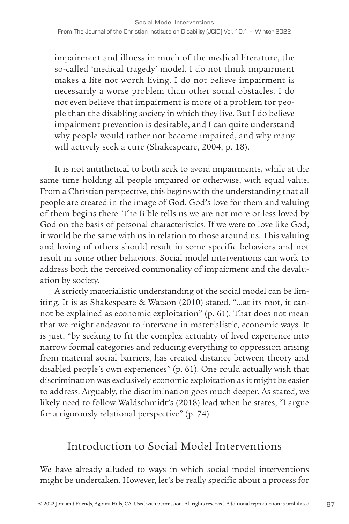impairment and illness in much of the medical literature, the so-called 'medical tragedy' model. I do not think impairment makes a life not worth living. I do not believe impairment is necessarily a worse problem than other social obstacles. I do not even believe that impairment is more of a problem for people than the disabling society in which they live. But I do believe impairment prevention is desirable, and I can quite understand why people would rather not become impaired, and why many will actively seek a cure (Shakespeare, 2004, p. 18).

It is not antithetical to both seek to avoid impairments, while at the same time holding all people impaired or otherwise, with equal value. From a Christian perspective, this begins with the understanding that all people are created in the image of God. God's love for them and valuing of them begins there. The Bible tells us we are not more or less loved by God on the basis of personal characteristics. If we were to love like God, it would be the same with us in relation to those around us. This valuing and loving of others should result in some specific behaviors and not result in some other behaviors. Social model interventions can work to address both the perceived commonality of impairment and the devaluation by society.

A strictly materialistic understanding of the social model can be limiting. It is as Shakespeare & Watson (2010) stated, "…at its root, it cannot be explained as economic exploitation" (p. 61). That does not mean that we might endeavor to intervene in materialistic, economic ways. It is just, "by seeking to fit the complex actuality of lived experience into narrow formal categories and reducing everything to oppression arising from material social barriers, has created distance between theory and disabled people's own experiences" (p. 61). One could actually wish that discrimination was exclusively economic exploitation as it might be easier to address. Arguably, the discrimination goes much deeper. As stated, we likely need to follow Waldschmidt's (2018) lead when he states, "I argue for a rigorously relational perspective" (p. 74).

#### Introduction to Social Model Interventions

We have already alluded to ways in which social model interventions might be undertaken. However, let's be really specific about a process for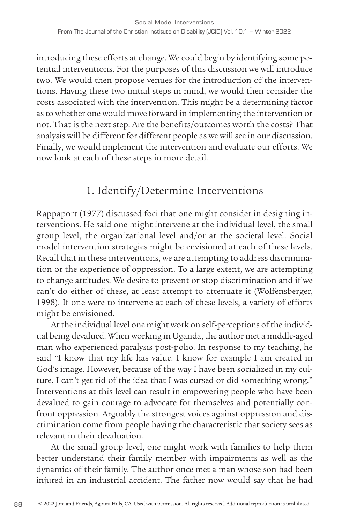introducing these efforts at change. We could begin by identifying some potential interventions. For the purposes of this discussion we will introduce two. We would then propose venues for the introduction of the interventions. Having these two initial steps in mind, we would then consider the costs associated with the intervention. This might be a determining factor as to whether one would move forward in implementing the intervention or not. That is the next step. Are the benefits/outcomes worth the costs? That analysis will be different for different people as we will see in our discussion. Finally, we would implement the intervention and evaluate our efforts. We now look at each of these steps in more detail.

#### 1. Identify/Determine Interventions

Rappaport (1977) discussed foci that one might consider in designing interventions. He said one might intervene at the individual level, the small group level, the organizational level and/or at the societal level. Social model intervention strategies might be envisioned at each of these levels. Recall that in these interventions, we are attempting to address discrimination or the experience of oppression. To a large extent, we are attempting to change attitudes. We desire to prevent or stop discrimination and if we can't do either of these, at least attempt to attenuate it (Wolfensberger, 1998). If one were to intervene at each of these levels, a variety of efforts might be envisioned.

At the individual level one might work on self-perceptions of the individual being devalued. When working in Uganda, the author met a middle-aged man who experienced paralysis post-polio. In response to my teaching, he said "I know that my life has value. I know for example I am created in God's image. However, because of the way I have been socialized in my culture, I can't get rid of the idea that I was cursed or did something wrong." Interventions at this level can result in empowering people who have been devalued to gain courage to advocate for themselves and potentially confront oppression. Arguably the strongest voices against oppression and discrimination come from people having the characteristic that society sees as relevant in their devaluation.

At the small group level, one might work with families to help them better understand their family member with impairments as well as the dynamics of their family. The author once met a man whose son had been injured in an industrial accident. The father now would say that he had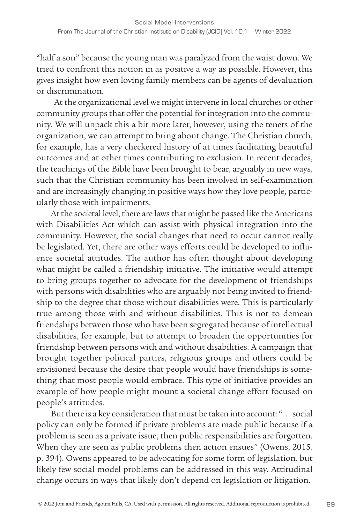"half a son" because the young man was paralyzed from the waist down. We tried to confront this notion in as positive a way as possible. However, this gives insight how even loving family members can be agents of devaluation or discrimination.

 At the organizational level we might intervene in local churches or other community groups that offer the potential for integration into the community. We will unpack this a bit more later, however, using the tenets of the organization, we can attempt to bring about change. The Christian church, for example, has a very checkered history of at times facilitating beautiful outcomes and at other times contributing to exclusion. In recent decades, the teachings of the Bible have been brought to bear, arguably in new ways, such that the Christian community has been involved in self-examination and are increasingly changing in positive ways how they love people, particularly those with impairments.

At the societal level, there are laws that might be passed like the Americans with Disabilities Act which can assist with physical integration into the community. However, the social changes that need to occur cannot really be legislated. Yet, there are other ways efforts could be developed to influence societal attitudes. The author has often thought about developing what might be called a friendship initiative. The initiative would attempt to bring groups together to advocate for the development of friendships with persons with disabilities who are arguably not being invited to friendship to the degree that those without disabilities were. This is particularly true among those with and without disabilities. This is not to demean friendships between those who have been segregated because of intellectual disabilities, for example, but to attempt to broaden the opportunities for friendship between persons with and without disabilities. A campaign that brought together political parties, religious groups and others could be envisioned because the desire that people would have friendships is something that most people would embrace. This type of initiative provides an example of how people might mount a societal change effort focused on people's attitudes.

But there is a key consideration that must be taken into account: ". . . social policy can only be formed if private problems are made public because if a problem is seen as a private issue, then public responsibilities are forgotten. When they are seen as public problems then action ensues" (Owens, 2015, p. 394). Owens appeared to be advocating for some form of legislation, but likely few social model problems can be addressed in this way. Attitudinal change occurs in ways that likely don't depend on legislation or litigation.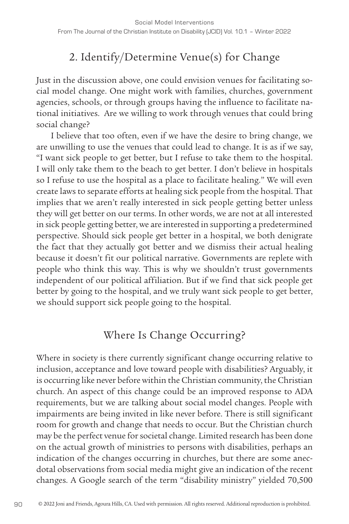# 2. Identify/Determine Venue(s) for Change

Just in the discussion above, one could envision venues for facilitating social model change. One might work with families, churches, government agencies, schools, or through groups having the influence to facilitate national initiatives. Are we willing to work through venues that could bring social change?

I believe that too often, even if we have the desire to bring change, we are unwilling to use the venues that could lead to change. It is as if we say, "I want sick people to get better, but I refuse to take them to the hospital. I will only take them to the beach to get better. I don't believe in hospitals so I refuse to use the hospital as a place to facilitate healing." We will even create laws to separate efforts at healing sick people from the hospital. That implies that we aren't really interested in sick people getting better unless they will get better on our terms. In other words, we are not at all interested in sick people getting better, we are interested in supporting a predetermined perspective. Should sick people get better in a hospital, we both denigrate the fact that they actually got better and we dismiss their actual healing because it doesn't fit our political narrative. Governments are replete with people who think this way. This is why we shouldn't trust governments independent of our political affiliation. But if we find that sick people get better by going to the hospital, and we truly want sick people to get better, we should support sick people going to the hospital.

#### Where Is Change Occurring?

Where in society is there currently significant change occurring relative to inclusion, acceptance and love toward people with disabilities? Arguably, it is occurring like never before within the Christian community, the Christian church. An aspect of this change could be an improved response to ADA requirements, but we are talking about social model changes. People with impairments are being invited in like never before. There is still significant room for growth and change that needs to occur. But the Christian church may be the perfect venue for societal change. Limited research has been done on the actual growth of ministries to persons with disabilities, perhaps an indication of the changes occurring in churches, but there are some anecdotal observations from social media might give an indication of the recent changes. A Google search of the term "disability ministry" yielded 70,500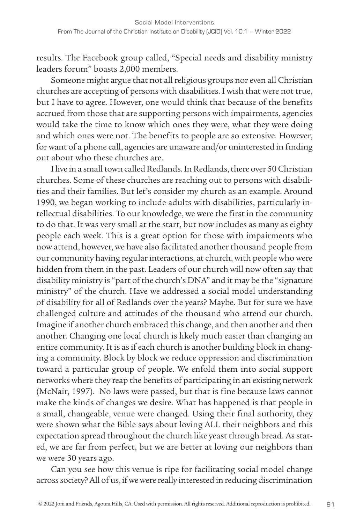results. The Facebook group called, "Special needs and disability ministry leaders forum" boasts 2,000 members.

Someone might argue that not all religious groups nor even all Christian churches are accepting of persons with disabilities. I wish that were not true, but I have to agree. However, one would think that because of the benefits accrued from those that are supporting persons with impairments, agencies would take the time to know which ones they were, what they were doing and which ones were not. The benefits to people are so extensive. However, for want of a phone call, agencies are unaware and/or uninterested in finding out about who these churches are.

I live in a small town called Redlands. In Redlands, there over 50 Christian churches. Some of these churches are reaching out to persons with disabilities and their families. But let's consider my church as an example. Around 1990, we began working to include adults with disabilities, particularly intellectual disabilities. To our knowledge, we were the first in the community to do that. It was very small at the start, but now includes as many as eighty people each week. This is a great option for those with impairments who now attend, however, we have also facilitated another thousand people from our community having regular interactions, at church, with people who were hidden from them in the past. Leaders of our church will now often say that disability ministry is "part of the church's DNA" and it may be the "signature ministry" of the church. Have we addressed a social model understanding of disability for all of Redlands over the years? Maybe. But for sure we have challenged culture and attitudes of the thousand who attend our church. Imagine if another church embraced this change, and then another and then another. Changing one local church is likely much easier than changing an entire community. It is as if each church is another building block in changing a community. Block by block we reduce oppression and discrimination toward a particular group of people. We enfold them into social support networks where they reap the benefits of participating in an existing network (McNair, 1997). No laws were passed, but that is fine because laws cannot make the kinds of changes we desire. What has happened is that people in a small, changeable, venue were changed. Using their final authority, they were shown what the Bible says about loving ALL their neighbors and this expectation spread throughout the church like yeast through bread. As stated, we are far from perfect, but we are better at loving our neighbors than we were 30 years ago.

Can you see how this venue is ripe for facilitating social model change across society? All of us, if we were really interested in reducing discrimination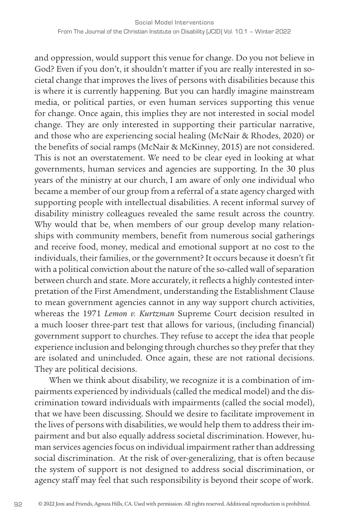and oppression, would support this venue for change. Do you not believe in God? Even if you don't, it shouldn't matter if you are really interested in societal change that improves the lives of persons with disabilities because this is where it is currently happening. But you can hardly imagine mainstream media, or political parties, or even human services supporting this venue for change. Once again, this implies they are not interested in social model change. They are only interested in supporting their particular narrative, and those who are experiencing social healing (McNair & Rhodes, 2020) or the benefits of social ramps (McNair & McKinney, 2015) are not considered. This is not an overstatement. We need to be clear eyed in looking at what governments, human services and agencies are supporting. In the 30 plus years of the ministry at our church, I am aware of only one individual who became a member of our group from a referral of a state agency charged with supporting people with intellectual disabilities. A recent informal survey of disability ministry colleagues revealed the same result across the country. Why would that be, when members of our group develop many relationships with community members, benefit from numerous social gatherings and receive food, money, medical and emotional support at no cost to the individuals, their families, or the government? It occurs because it doesn't fit with a political conviction about the nature of the so-called wall of separation between church and state. More accurately, it reflects a highly contested interpretation of the First Amendment, understanding the Establishment Clause to mean government agencies cannot in any way support church activities, whereas the 1971 *Lemon v. Kurtzman* Supreme Court decision resulted in a much looser three-part test that allows for various, (including financial) government support to churches. They refuse to accept the idea that people experience inclusion and belonging through churches so they prefer that they are isolated and unincluded. Once again, these are not rational decisions. They are political decisions.

When we think about disability, we recognize it is a combination of impairments experienced by individuals (called the medical model) and the discrimination toward individuals with impairments (called the social model), that we have been discussing. Should we desire to facilitate improvement in the lives of persons with disabilities, we would help them to address their impairment and but also equally address societal discrimination. However, human services agencies focus on individual impairment rather than addressing social discrimination. At the risk of over-generalizing, that is often because the system of support is not designed to address social discrimination, or agency staff may feel that such responsibility is beyond their scope of work.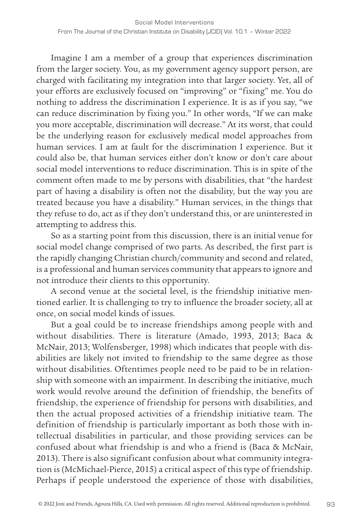Imagine I am a member of a group that experiences discrimination from the larger society. You, as my government agency support person, are charged with facilitating my integration into that larger society. Yet, all of your efforts are exclusively focused on "improving" or "fixing" me. You do nothing to address the discrimination I experience. It is as if you say, "we can reduce discrimination by fixing you." In other words, "If we can make you more acceptable, discrimination will decrease." At its worst, that could be the underlying reason for exclusively medical model approaches from human services. I am at fault for the discrimination I experience. But it could also be, that human services either don't know or don't care about social model interventions to reduce discrimination. This is in spite of the comment often made to me by persons with disabilities, that "the hardest part of having a disability is often not the disability, but the way you are treated because you have a disability." Human services, in the things that they refuse to do, act as if they don't understand this, or are uninterested in attempting to address this.

So as a starting point from this discussion, there is an initial venue for social model change comprised of two parts. As described, the first part is the rapidly changing Christian church/community and second and related, is a professional and human services community that appears to ignore and not introduce their clients to this opportunity.

A second venue at the societal level, is the friendship initiative mentioned earlier. It is challenging to try to influence the broader society, all at once, on social model kinds of issues.

But a goal could be to increase friendships among people with and without disabilities. There is literature (Amado, 1993, 2013; Baca & McNair, 2013; Wolfensberger, 1998) which indicates that people with disabilities are likely not invited to friendship to the same degree as those without disabilities. Oftentimes people need to be paid to be in relationship with someone with an impairment. In describing the initiative, much work would revolve around the definition of friendship, the benefits of friendship, the experience of friendship for persons with disabilities, and then the actual proposed activities of a friendship initiative team. The definition of friendship is particularly important as both those with intellectual disabilities in particular, and those providing services can be confused about what friendship is and who a friend is (Baca & McNair, 2013). There is also significant confusion about what community integration is (McMichael-Pierce, 2015) a critical aspect of this type of friendship. Perhaps if people understood the experience of those with disabilities,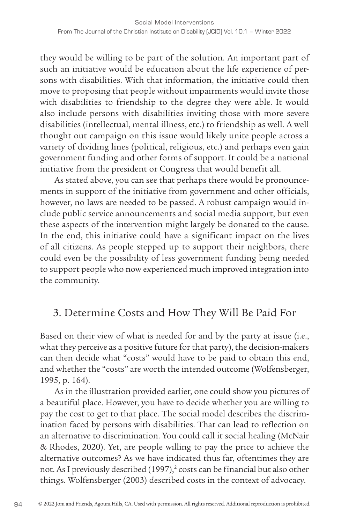they would be willing to be part of the solution. An important part of such an initiative would be education about the life experience of persons with disabilities. With that information, the initiative could then move to proposing that people without impairments would invite those with disabilities to friendship to the degree they were able. It would also include persons with disabilities inviting those with more severe disabilities (intellectual, mental illness, etc.) to friendship as well. A well thought out campaign on this issue would likely unite people across a variety of dividing lines (political, religious, etc.) and perhaps even gain government funding and other forms of support. It could be a national initiative from the president or Congress that would benefit all.

As stated above, you can see that perhaps there would be pronouncements in support of the initiative from government and other officials, however, no laws are needed to be passed. A robust campaign would include public service announcements and social media support, but even these aspects of the intervention might largely be donated to the cause. In the end, this initiative could have a significant impact on the lives of all citizens. As people stepped up to support their neighbors, there could even be the possibility of less government funding being needed to support people who now experienced much improved integration into the community.

#### 3. Determine Costs and How They Will Be Paid For

Based on their view of what is needed for and by the party at issue (i.e., what they perceive as a positive future for that party), the decision-makers can then decide what "costs" would have to be paid to obtain this end, and whether the "costs" are worth the intended outcome (Wolfensberger, 1995, p. 164).

As in the illustration provided earlier, one could show you pictures of a beautiful place. However, you have to decide whether you are willing to pay the cost to get to that place. The social model describes the discrimination faced by persons with disabilities. That can lead to reflection on an alternative to discrimination. You could call it social healing (McNair & Rhodes, 2020). Yet, are people willing to pay the price to achieve the alternative outcomes? As we have indicated thus far, oftentimes they are not. As I previously described (1997),<sup>2</sup> costs can be financial but also other things. Wolfensberger (2003) described costs in the context of advocacy.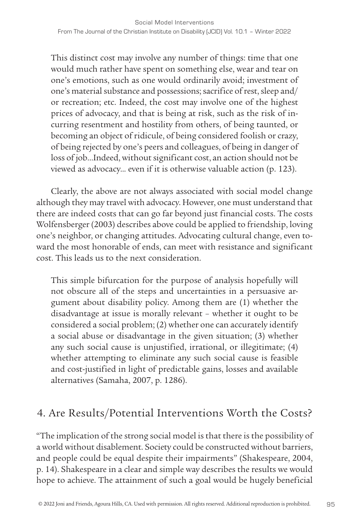This distinct cost may involve any number of things: time that one would much rather have spent on something else, wear and tear on one's emotions, such as one would ordinarily avoid; investment of one's material substance and possessions; sacrifice of rest, sleep and/ or recreation; etc. Indeed, the cost may involve one of the highest prices of advocacy, and that is being at risk, such as the risk of incurring resentment and hostility from others, of being taunted, or becoming an object of ridicule, of being considered foolish or crazy, of being rejected by one's peers and colleagues, of being in danger of loss of job…Indeed, without significant cost, an action should not be viewed as advocacy... even if it is otherwise valuable action (p. 123).

Clearly, the above are not always associated with social model change although they may travel with advocacy. However, one must understand that there are indeed costs that can go far beyond just financial costs. The costs Wolfensberger (2003) describes above could be applied to friendship, loving one's neighbor, or changing attitudes. Advocating cultural change, even toward the most honorable of ends, can meet with resistance and significant cost. This leads us to the next consideration.

This simple bifurcation for the purpose of analysis hopefully will not obscure all of the steps and uncertainties in a persuasive argument about disability policy. Among them are (1) whether the disadvantage at issue is morally relevant – whether it ought to be considered a social problem; (2) whether one can accurately identify a social abuse or disadvantage in the given situation; (3) whether any such social cause is unjustified, irrational, or illegitimate; (4) whether attempting to eliminate any such social cause is feasible and cost-justified in light of predictable gains, losses and available alternatives (Samaha, 2007, p. 1286).

# 4. Are Results/Potential Interventions Worth the Costs?

"The implication of the strong social model is that there is the possibility of a world without disablement. Society could be constructed without barriers, and people could be equal despite their impairments" (Shakespeare, 2004, p. 14). Shakespeare in a clear and simple way describes the results we would hope to achieve. The attainment of such a goal would be hugely beneficial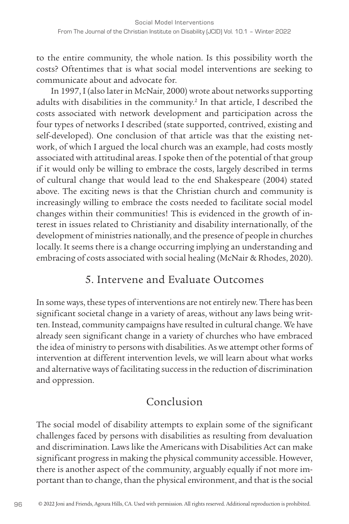to the entire community, the whole nation. Is this possibility worth the costs? Oftentimes that is what social model interventions are seeking to communicate about and advocate for.

In 1997, I (also later in McNair, 2000) wrote about networks supporting adults with disabilities in the community.<sup>2</sup> In that article, I described the costs associated with network development and participation across the four types of networks I described (state supported, contrived, existing and self-developed). One conclusion of that article was that the existing network, of which I argued the local church was an example, had costs mostly associated with attitudinal areas. I spoke then of the potential of that group if it would only be willing to embrace the costs, largely described in terms of cultural change that would lead to the end Shakespeare (2004) stated above. The exciting news is that the Christian church and community is increasingly willing to embrace the costs needed to facilitate social model changes within their communities! This is evidenced in the growth of interest in issues related to Christianity and disability internationally, of the development of ministries nationally, and the presence of people in churches locally. It seems there is a change occurring implying an understanding and embracing of costs associated with social healing (McNair & Rhodes, 2020).

#### 5. Intervene and Evaluate Outcomes

In some ways, these types of interventions are not entirely new. There has been significant societal change in a variety of areas, without any laws being written. Instead, community campaigns have resulted in cultural change. We have already seen significant change in a variety of churches who have embraced the idea of ministry to persons with disabilities. As we attempt other forms of intervention at different intervention levels, we will learn about what works and alternative ways of facilitating success in the reduction of discrimination and oppression.

#### Conclusion

The social model of disability attempts to explain some of the significant challenges faced by persons with disabilities as resulting from devaluation and discrimination. Laws like the Americans with Disabilities Act can make significant progress in making the physical community accessible. However, there is another aspect of the community, arguably equally if not more important than to change, than the physical environment, and that is the social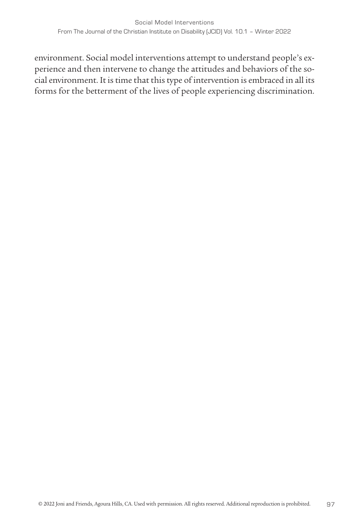environment. Social model interventions attempt to understand people's experience and then intervene to change the attitudes and behaviors of the social environment. It is time that this type of intervention is embraced in all its forms for the betterment of the lives of people experiencing discrimination.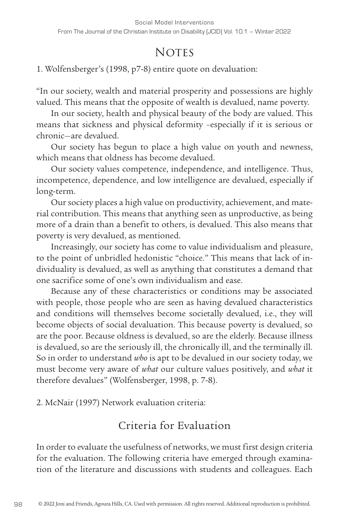# **NOTES**

1. Wolfensberger's (1998, p7-8) entire quote on devaluation:

"In our society, wealth and material prosperity and possessions are highly valued. This means that the opposite of wealth is devalued, name poverty.

In our society, health and physical beauty of the body are valued. This means that sickness and physical deformity –especially if it is serious or chronic—are devalued.

Our society has begun to place a high value on youth and newness, which means that oldness has become devalued.

Our society values competence, independence, and intelligence. Thus, incompetence, dependence, and low intelligence are devalued, especially if long-term.

Our society places a high value on productivity, achievement, and material contribution. This means that anything seen as unproductive, as being more of a drain than a benefit to others, is devalued. This also means that poverty is very devalued, as mentioned.

Increasingly, our society has come to value individualism and pleasure, to the point of unbridled hedonistic "choice." This means that lack of individuality is devalued, as well as anything that constitutes a demand that one sacrifice some of one's own individualism and ease.

Because any of these characteristics or conditions may be associated with people, those people who are seen as having devalued characteristics and conditions will themselves become societally devalued, i.e., they will become objects of social devaluation. This because poverty is devalued, so are the poor. Because oldness is devalued, so are the elderly. Because illness is devalued, so are the seriously ill, the chronically ill, and the terminally ill. So in order to understand *who* is apt to be devalued in our society today, we must become very aware of *what* our culture values positively, and *what* it therefore devalues" (Wolfensberger, 1998, p. 7-8).

2. McNair (1997) Network evaluation criteria:

# Criteria for Evaluation

In order to evaluate the usefulness of networks, we must first design criteria for the evaluation. The following criteria have emerged through examination of the literature and discussions with students and colleagues. Each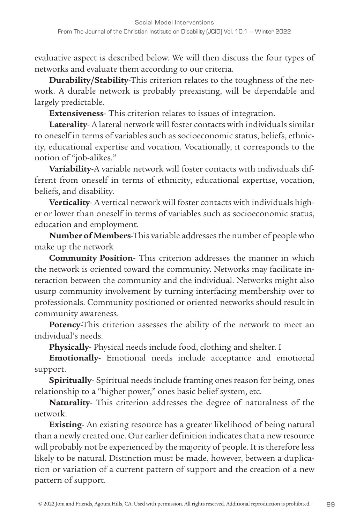evaluative aspect is described below. We will then discuss the four types of networks and evaluate them according to our criteria.

**Durability/Stability**-This criterion relates to the toughness of the network. A durable network is probably preexisting, will be dependable and largely predictable.

**Extensiveness**- This criterion relates to issues of integration.

**Laterality**- A lateral network will foster contacts with individuals similar to oneself in terms of variables such as socioeconomic status, beliefs, ethnicity, educational expertise and vocation. Vocationally, it corresponds to the notion of "job-alikes."

**Variability**-A variable network will foster contacts with individuals different from oneself in terms of ethnicity, educational expertise, vocation, beliefs, and disability.

**Verticality**- A vertical network will foster contacts with individuals higher or lower than oneself in terms of variables such as socioeconomic status, education and employment.

**Number of Members**-This variable addresses the number of people who make up the network

**Community Position**- This criterion addresses the manner in which the network is oriented toward the community. Networks may facilitate interaction between the community and the individual. Networks might also usurp community involvement by turning interfacing membership over to professionals. Community positioned or oriented networks should result in community awareness.

**Potency**-This criterion assesses the ability of the network to meet an individual's needs.

**Physically**- Physical needs include food, clothing and shelter. I

**Emotionally**- Emotional needs include acceptance and emotional support.

**Spiritually**- Spiritual needs include framing ones reason for being, ones relationship to a "higher power," ones basic belief system, etc.

**Naturality**- This criterion addresses the degree of naturalness of the network.

**Existing**- An existing resource has a greater likelihood of being natural than a newly created one. Our earlier definition indicates that a new resource will probably not be experienced by the majority of people. It is therefore less likely to be natural. Distinction must be made, however, between a duplication or variation of a current pattern of support and the creation of a new pattern of support.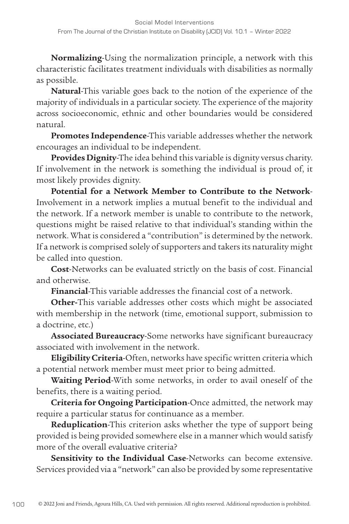**Normalizing**-Using the normalization principle, a network with this characteristic facilitates treatment individuals with disabilities as normally as possible.

**Natural**-This variable goes back to the notion of the experience of the majority of individuals in a particular society. The experience of the majority across socioeconomic, ethnic and other boundaries would be considered natural.

**Promotes Independence**-This variable addresses whether the network encourages an individual to be independent.

**Provides Dignity**-The idea behind this variable is dignity versus charity. If involvement in the network is something the individual is proud of, it most likely provides dignity.

**Potential for a Network Member to Contribute to the Network**-Involvement in a network implies a mutual benefit to the individual and the network. If a network member is unable to contribute to the network, questions might be raised relative to that individual's standing within the network. What is considered a "contribution" is determined by the network. If a network is comprised solely of supporters and takers its naturality might be called into question.

**Cost**-Networks can be evaluated strictly on the basis of cost. Financial and otherwise.

**Financial**-This variable addresses the financial cost of a network.

**Other-**This variable addresses other costs which might be associated with membership in the network (time, emotional support, submission to a doctrine, etc.)

**Associated Bureaucracy**-Some networks have significant bureaucracy associated with involvement in the network.

**Eligibility Criteria**-Often, networks have specific written criteria which a potential network member must meet prior to being admitted.

**Waiting Period**-With some networks, in order to avail oneself of the benefits, there is a waiting period.

**Criteria for Ongoing Participation**-Once admitted, the network may require a particular status for continuance as a member.

**Reduplication**-This criterion asks whether the type of support being provided is being provided somewhere else in a manner which would satisfy more of the overall evaluative criteria?

**Sensitivity to the Individual Case**-Networks can become extensive. Services provided via a "network" can also be provided by some representative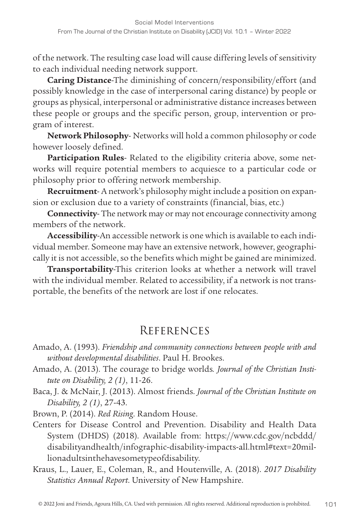of the network. The resulting case load will cause differing levels of sensitivity to each individual needing network support.

**Caring Distance**-The diminishing of concern/responsibility/effort (and possibly knowledge in the case of interpersonal caring distance) by people or groups as physical, interpersonal or administrative distance increases between these people or groups and the specific person, group, intervention or program of interest.

**Network Philosophy**- Networks will hold a common philosophy or code however loosely defined.

**Participation Rules**- Related to the eligibility criteria above, some networks will require potential members to acquiesce to a particular code or philosophy prior to offering network membership.

**Recruitment**- A network's philosophy might include a position on expansion or exclusion due to a variety of constraints (financial, bias, etc.)

**Connectivity**- The network may or may not encourage connectivity among members of the network.

**Accessibility**-An accessible network is one which is available to each individual member. Someone may have an extensive network, however, geographically it is not accessible, so the benefits which might be gained are minimized.

**Transportability**-This criterion looks at whether a network will travel with the individual member. Related to accessibility, if a network is not transportable, the benefits of the network are lost if one relocates.

# **REFERENCES**

- Amado, A. (2013). The courage to bridge worlds*. Journal of the Christian Institute on Disability, 2 (1)*, 11-26.
- Baca, J. & McNair, J. (2013). Almost friends. *Journal of the Christian Institute on Disability, 2 (1)*, 27-43.

Brown, P. (2014). *Red Rising*. Random House.

Centers for Disease Control and Prevention. Disability and Health Data System (DHDS) (2018). Available from: https://www.cdc.gov/ncbddd/ disabilityandhealth/infographic-disability-impacts-all.html#text=20millionadultsinthehavesometypeofdisability.

Kraus, L., Lauer, E., Coleman, R., and Houtenville, A. (2018). *2017 Disability Statistics Annual Report*. University of New Hampshire.

Amado, A. (1993). *Friendship and community connections between people with and without developmental disabilities*. Paul H. Brookes.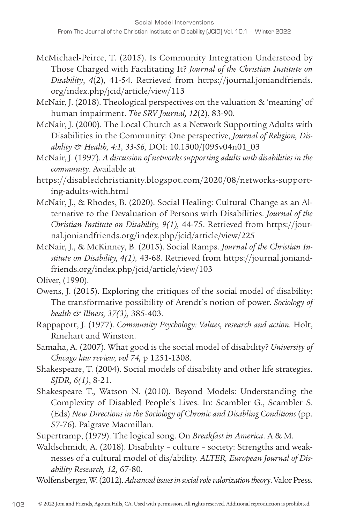- McMichael-Peirce, T. (2015). Is Community Integration Understood by Those Charged with Facilitating It? *Journal of the Christian Institute on Disability*, *4*(2), 41-54. Retrieved from https://journal.joniandfriends. org/index.php/jcid/article/view/113
- McNair, J. (2018). Theological perspectives on the valuation & 'meaning' of human impairment. *The SRV Journal, 12*(2), 83-90.
- McNair, J. (2000). The Local Church as a Network Supporting Adults with Disabilities in the Community: One perspective, *Journal of Religion, Disability & Health, 4:1, 33-56,* DOI: [10.1300/J095v04n01\\_03](https://doi.org/10.1300/J095v04n01_03)
- McNair, J. (1997). *A discussion of networks supporting adults with disabilities in the community*. Available at
- [https://disabledchristianity.blogspot.com/2020/08/networks-support](https://disabledchristianity.blogspot.com/2020/08/networks-supporting-adults-with.html)[ing-adults-with.html](https://disabledchristianity.blogspot.com/2020/08/networks-supporting-adults-with.html)
- McNair, J., & Rhodes, B. (2020). Social Healing: Cultural Change as an Alternative to the Devaluation of Persons with Disabilities. *Journal of the Christian Institute on Disability, 9(1),* 44-75. Retrieved from [https://jour](https://journal.joniandfriends.org/index.php/jcid/article/view/225)[nal.joniandfriends.org/index.php/jcid/article/view/225](https://journal.joniandfriends.org/index.php/jcid/article/view/225)
- McNair, J., & McKinney, B. (2015). Social Ramps. *Journal of the Christian Institute on Disability, 4(1),* 43-68. Retrieved from [https://journal.joniand](https://journal.joniandfriends.org/index.php/jcid/article/view/103)[friends.org/index.php/jcid/article/view/103](https://journal.joniandfriends.org/index.php/jcid/article/view/103)

Oliver, (1990).

- Owens, J. (2015). Exploring the critiques of the social model of disability; The transformative possibility of Arendt's notion of power. *Sociology of health & Illness, 37(3),* 385-403.
- Rappaport, J. (1977). *Community Psychology: Values, research and action.* Holt, Rinehart and Winston.
- Samaha, A. (2007). What good is the social model of disability? *University of Chicago law review, vol 74,* p 1251-1308.
- Shakespeare, T. (2004). Social models of disability and other life strategies. *SJDR, 6(1)*, 8-21.
- Shakespeare T., Watson N. (2010). Beyond Models: Understanding the Complexity of Disabled People's Lives. In: Scambler G., Scambler S. (Eds) *New Directions in the Sociology of Chronic and Disabling Conditions* (pp. 57-76). Palgrave Macmillan.

Supertramp, (1979). The logical song. On *Breakfast in America*. A & M.

Waldschmidt, A. (2018). Disability – culture – society: Strengths and weaknesses of a cultural model of dis/ability. *ALTER, European Journal of Disability Research, 12,* 67-80.

Wolfensberger, W. (2012). *Advanced issues in social role valorization theory*. Valor Press.